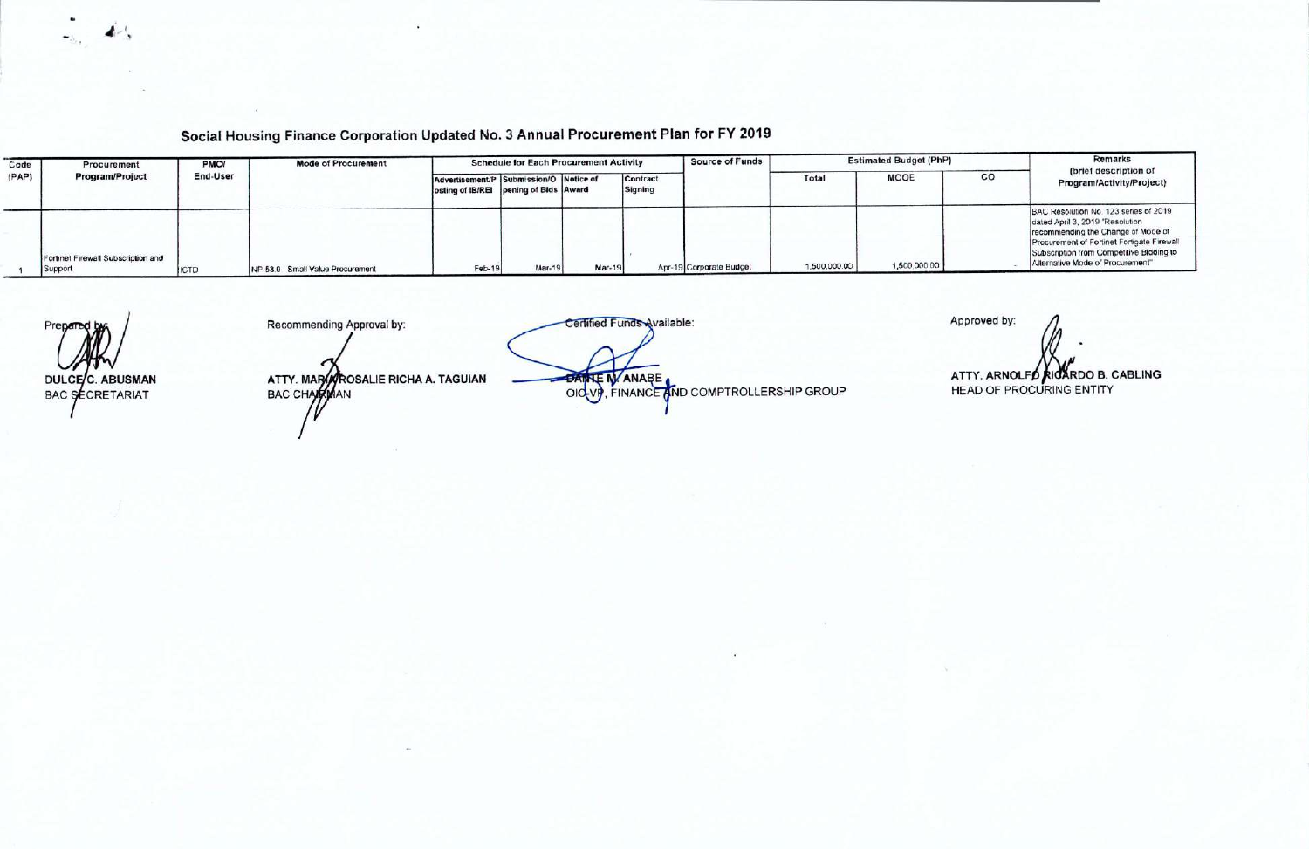Social Housing Finance Corporation Updated No. 3 Annual Procurement Plan for FY 2019

| Code  | Procurement                                   | <b>PMO</b> | <b>Mode of Procurement</b>        |                                                                                 | <b>Schedule for Each Procurement Activity</b> |        |                     | Source of Funds         |              | <b>Estimated Budget (PhP)</b> |    | Remarks                                                                                                                                                                                                                                      |
|-------|-----------------------------------------------|------------|-----------------------------------|---------------------------------------------------------------------------------|-----------------------------------------------|--------|---------------------|-------------------------|--------------|-------------------------------|----|----------------------------------------------------------------------------------------------------------------------------------------------------------------------------------------------------------------------------------------------|
| (PAP) | Program/Project                               | End-User   |                                   | Advertisement/P Submission/O Notice of<br>osting of IB/REI pening of Bids Award |                                               |        | Contract<br>Signing |                         | Total        | <b>MOOE</b>                   | CO | (brief description of<br>Program/Activity/Project)                                                                                                                                                                                           |
|       | Fortinet Firewall Subscription and<br>Support | <b>CTD</b> | NP-53 9 - Small Value Procurement | Feb-19                                                                          | Mar-1                                         | Mar-19 |                     | Apr-19 Corporate Budget | 1,500,000.00 | 1,500,000.00                  |    | BAC Resolution No. 123 series of 2019<br>dated April 3, 2019 "Resolution<br>recommending the Change of Mode of<br>Procurement of Fortinet Fortigate Firewall<br>Subscription from Competitive Bidding to<br>Alternative Mode of Procurement" |

Prepared DULCEC. ABUSMAN **BAC SECRETARIAT** 

Recommending Approval by:

ATTY. MARARROSALIE RICHA A. TAGUIAN<br>BAC CHARRMAN

Certified Funds Available: DAMLE M ANABE

Approved by:

ATTY. ARNOLFO RICARDO B. CABLING **HEAD OF PROCURING ENTITY** 

4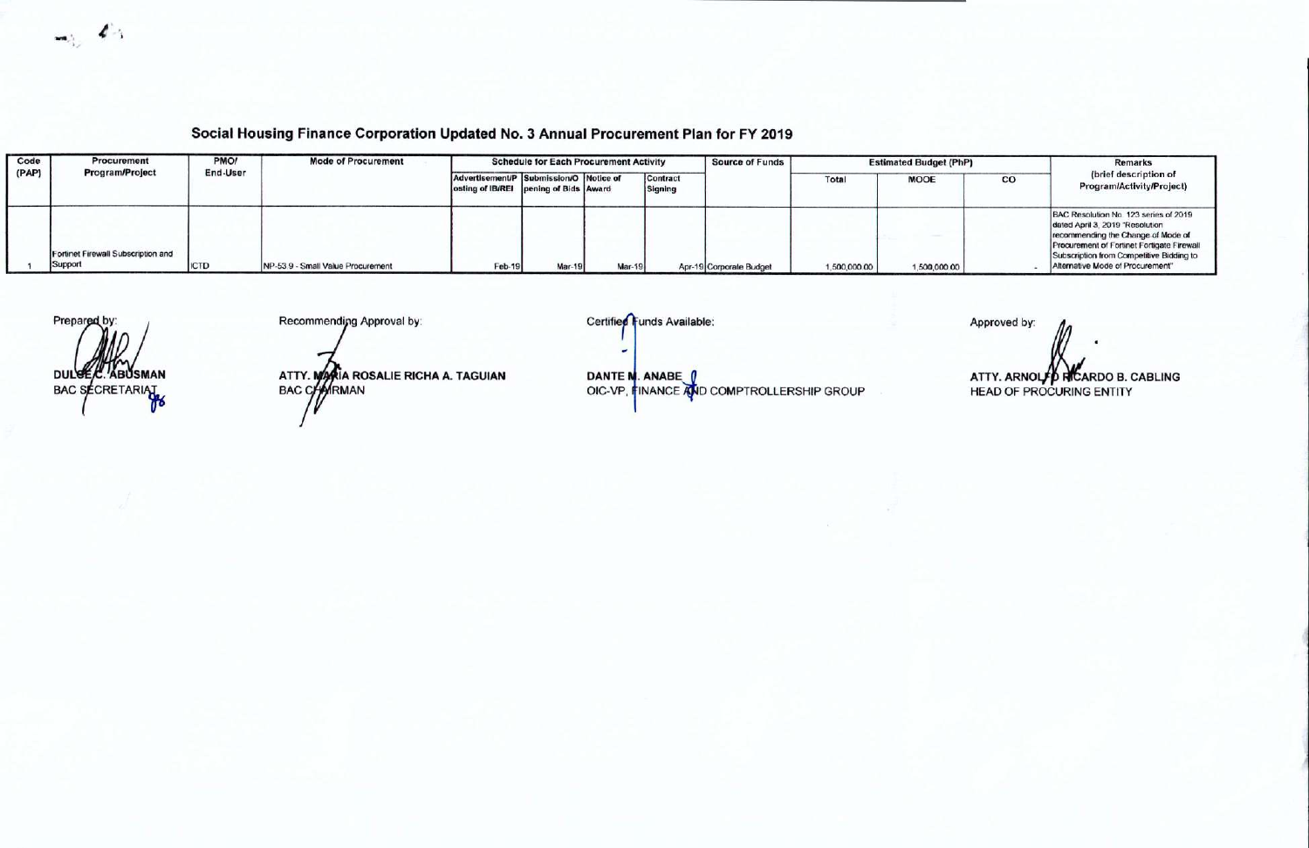$\blacktriangle$ C.

## Social Housing Finance Corporation Updated No. 3 Annual Procurement Plan for FY 2019

| Code  | <b>Procurement</b>                            | PMO/     | <b>Mode of Procurement</b>        |                                                                                 | <b>Schedule for Each Procurement Activity</b> |        |                     | <b>Source of Funds</b>  | <b>Estimated Budget (PhP)</b> |              | Remarks |                                                                                                                                                                                                                                              |
|-------|-----------------------------------------------|----------|-----------------------------------|---------------------------------------------------------------------------------|-----------------------------------------------|--------|---------------------|-------------------------|-------------------------------|--------------|---------|----------------------------------------------------------------------------------------------------------------------------------------------------------------------------------------------------------------------------------------------|
| (PAP) | <b>Program/Project</b>                        | End-User |                                   | Advertisement/P Submission/O Notice of<br>osting of IB/REI pening of Bids Award |                                               |        | Contract<br>Signing |                         | Tota                          | <b>MOOE</b>  | co      | (brief description of<br>Program/Activity/Project)                                                                                                                                                                                           |
|       | Fortinet Firewall Subscription and<br>Support | ICTD     | NP-53.9 - Small Value Procurement | Feb-19                                                                          | Mar-19                                        | Mar-19 |                     | Apr-19 Corporate Budget | 1,500,000.00                  | 1,500,000.00 |         | BAC Resolution No. 123 series of 2019<br>dated April 3, 2019 "Resolution<br>recommending the Change of Mode of<br>Procurement of Fortinet Fortigate Firewall<br>Subscription from Competitive Bidding to<br>Alternative Mode of Procurement" |

Prepared by: DULGEE **ABUSMAN** BAC SECRETARIAL

Recommending Approval by:

ATTY. MAKIA ROSALIE RICHA A. TAGUIAN<br>BAC CHAIRMAN

Certified Funds Available:

DANTE N. ANABE (<br>OIC-VP, FINANCE AND COMPTROLLERSHIP GROUP

Approved by: ATTY. ARNOLFO RICARDO B. CABLING **HEAD OF PROCURING ENTITY**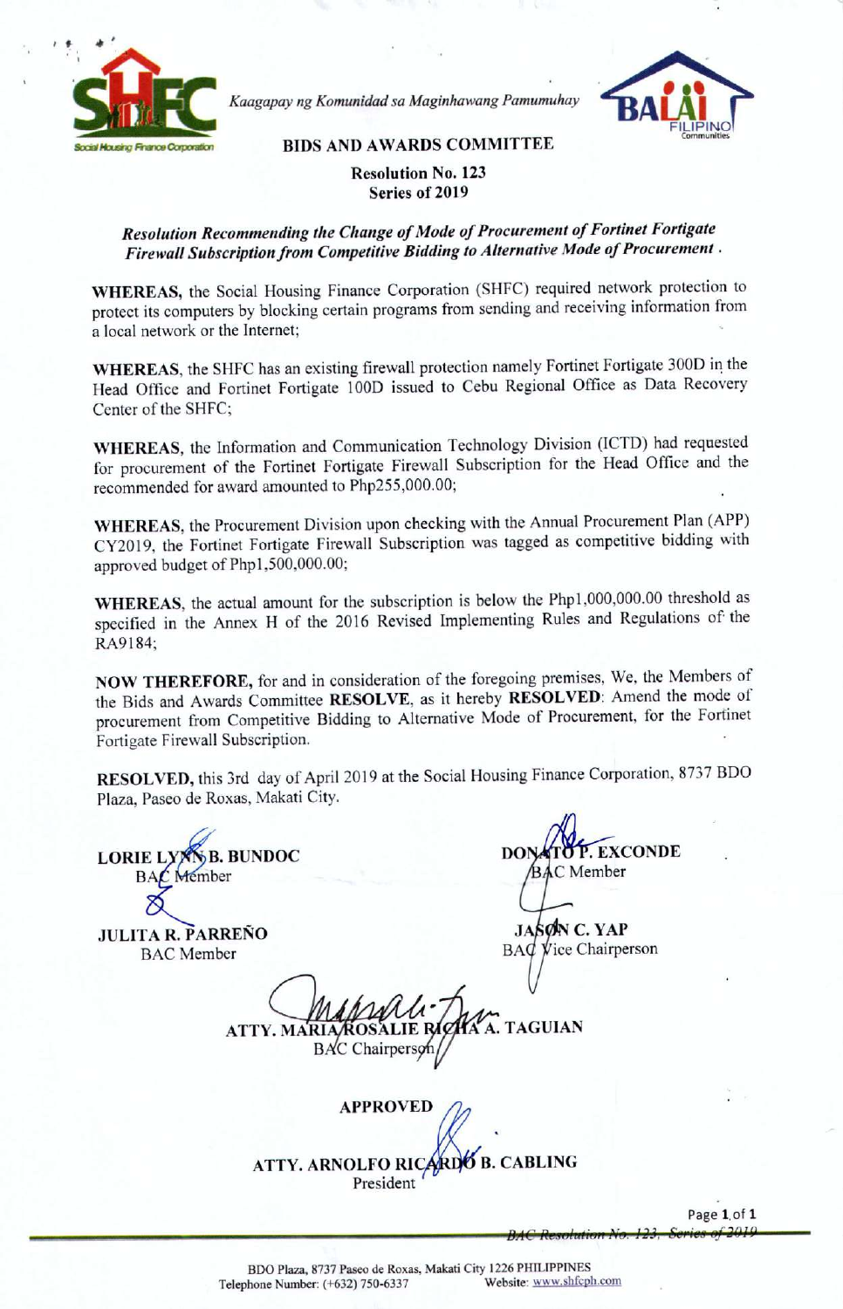

*Kaagapay ng Komunidad sa Maginhawang Pamumuhay*



BIDS AND AWARDS COMMITTEE

## Resolution No. 123 Series of 2019

## *Resolution Recommending the Change of Mode of Procurement of Fortinet Fortigate Firewall Subscription from Competitive Bidding to Alternative Mode of Procurement.*

WHEREAS, the Social Housing Finance Corporation (SHFC) required network protection to protect its computers by blocking certain programs from sending and receiving information from a local network or the Internet;

WHEREAS, the SHFC has an existing firewall protection namely Fortinet Fortigate 3000 in the Head Office and Fortinet Fortigate 1000 issued to Cebu Regional Office as Data Recovery Center of the SHFC;

WHEREAS, the Information and Communication Technology Division (ICTD) had requested for procurement of the Fortinet Fortigate Firewall Subscription for the Head Office and the recommended for award amounted to Php255,000.00;

WHEREAS, the Procurement Division upon checking with the Annual Procurement Plan (APP) CY2019, the Fortinet Fortigate Firewall Subscription was tagged as competitive bidding with approved budget of Php1,500,000.00;

WHEREAS, the actual amount for the subscription is below the Php1,000,000.00 threshold as specified in the Annex H of the 2016 Revised Implementing Rules and Regulations of the RA9184;

NOW THEREFORE, for and in consideration of the foregoing premises, We, the Members of the Bids and Awards Committee RESOLVE, as it hereby RESOLVED: Amend the mode of procurement from Competitive Bidding to Alternative Mode of Procurement, for the Fortinet Fortigate Firewall Subscription.

RESOLVED, this 3rd day of April 2019 at the Social Housing Finance Corporation, 8737 BOO Plaza, Paseo de Roxas, Makati City.

**LORIE LYNNB. BUNDOC** Member  $BAC$ 

JULITA R. PARRENO BAC Member

**EXCONDE** C Member

JASØN C. YAP BAC Vice Chairperson

**TAGUIAN ATTY. MA BAC** Chairper

APPROVED *(}:l* ATTY. ARNOLFO RICARDO B. CABLING President

Page 1.of 1 BAC Resolution No. 123, Series of 2015